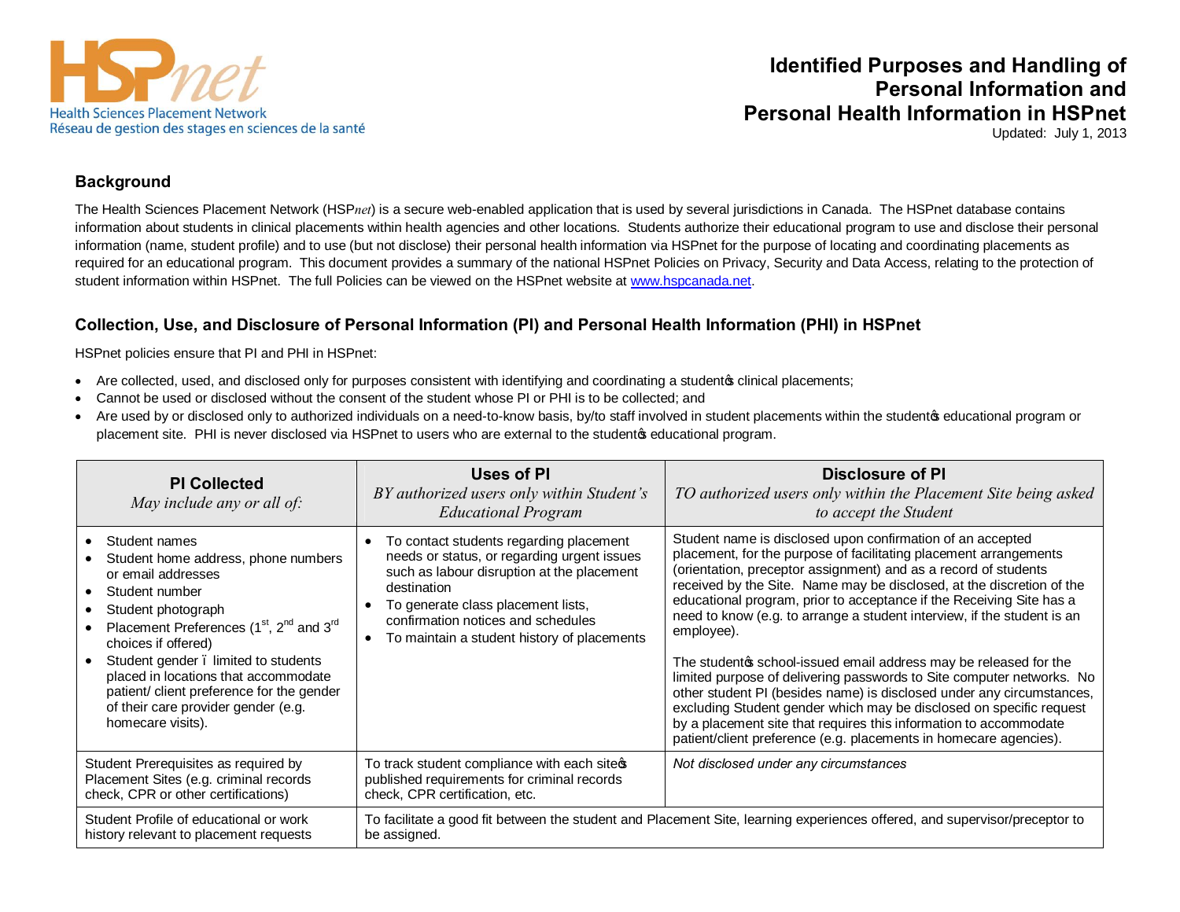

# **Identified Purposes and Handling of Personal Information and Personal Health Information in HSPnet**

Updated: July 1, 2013

#### **Background**

The Health Sciences Placement Network (HSP*net*) is a secure web-enabled application that is used by several jurisdictions in Canada. The HSPnet database contains information about students in clinical placements within health agencies and other locations. Students authorize their educational program to use and disclose their personal information (name, student profile) and to use (but not disclose) their personal health information via HSPnet for the purpose of locating and coordinating placements as required for an educational program. This document provides a summary of the national HSPnet Policies on Privacy, Security and Data Access, relating to the protection of student information within HSPnet. The full Policies can be viewed on the HSPnet website at www.hspcanada.net.

### **Collection, Use, and Disclosure of Personal Information (PI) and Personal Health Information (PHI) in HSPnet**

HSPnet policies ensure that PI and PHI in HSPnet:

- Are collected, used, and disclosed only for purposes consistent with identifying and coordinating a student of clinical placements;
- Cannot be used or disclosed without the consent of the student whose PI or PHI is to be collected; and
- Are used by or disclosed only to authorized individuals on a need-to-know basis, by/to staff involved in student placements within the student seducational program or placement site. PHI is never disclosed via HSPnet to users who are external to the studentos educational program.

| <b>PI Collected</b><br>May include any or all of:                                                                                                                                                                                                                                                                                                                                                                  | <b>Uses of PI</b><br>BY authorized users only within Student's<br><b>Educational Program</b>                                                                                                                                                                                                     | <b>Disclosure of PI</b><br>TO authorized users only within the Placement Site being asked<br>to accept the Student                                                                                                                                                                                                                                                                                                                                                                                                                                                                                                                                                                                                                                                                                                                                                                    |
|--------------------------------------------------------------------------------------------------------------------------------------------------------------------------------------------------------------------------------------------------------------------------------------------------------------------------------------------------------------------------------------------------------------------|--------------------------------------------------------------------------------------------------------------------------------------------------------------------------------------------------------------------------------------------------------------------------------------------------|---------------------------------------------------------------------------------------------------------------------------------------------------------------------------------------------------------------------------------------------------------------------------------------------------------------------------------------------------------------------------------------------------------------------------------------------------------------------------------------------------------------------------------------------------------------------------------------------------------------------------------------------------------------------------------------------------------------------------------------------------------------------------------------------------------------------------------------------------------------------------------------|
| Student names<br>Student home address, phone numbers<br>or email addresses<br>Student number<br>Student photograph<br>Placement Preferences (1 <sup>st</sup> , 2 <sup>nd</sup> and 3 <sup>rd</sup><br>choices if offered)<br>Student gender . limited to students<br>placed in locations that accommodate<br>patient/ client preference for the gender<br>of their care provider gender (e.g.<br>homecare visits). | To contact students regarding placement<br>$\bullet$<br>needs or status, or regarding urgent issues<br>such as labour disruption at the placement<br>destination<br>To generate class placement lists,<br>confirmation notices and schedules<br>To maintain a student history of placements<br>٠ | Student name is disclosed upon confirmation of an accepted<br>placement, for the purpose of facilitating placement arrangements<br>(orientation, preceptor assignment) and as a record of students<br>received by the Site. Name may be disclosed, at the discretion of the<br>educational program, prior to acceptance if the Receiving Site has a<br>need to know (e.g. to arrange a student interview, if the student is an<br>employee).<br>The student of school-issued email address may be released for the<br>limited purpose of delivering passwords to Site computer networks. No<br>other student PI (besides name) is disclosed under any circumstances,<br>excluding Student gender which may be disclosed on specific request<br>by a placement site that requires this information to accommodate<br>patient/client preference (e.g. placements in homecare agencies). |
| Student Prerequisites as required by<br>Placement Sites (e.g. criminal records<br>check, CPR or other certifications)                                                                                                                                                                                                                                                                                              | To track student compliance with each sites<br>published requirements for criminal records<br>check, CPR certification, etc.                                                                                                                                                                     | Not disclosed under any circumstances                                                                                                                                                                                                                                                                                                                                                                                                                                                                                                                                                                                                                                                                                                                                                                                                                                                 |
| Student Profile of educational or work<br>history relevant to placement requests                                                                                                                                                                                                                                                                                                                                   | To facilitate a good fit between the student and Placement Site, learning experiences offered, and supervisor/preceptor to<br>be assigned.                                                                                                                                                       |                                                                                                                                                                                                                                                                                                                                                                                                                                                                                                                                                                                                                                                                                                                                                                                                                                                                                       |